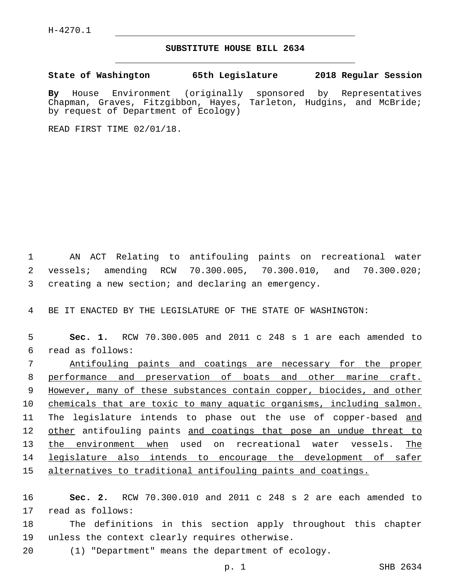H-4270.1

## **SUBSTITUTE HOUSE BILL 2634**

**State of Washington 65th Legislature 2018 Regular Session**

**By** House Environment (originally sponsored by Representatives Chapman, Graves, Fitzgibbon, Hayes, Tarleton, Hudgins, and McBride; by request of Department of Ecology)

READ FIRST TIME 02/01/18.

1 AN ACT Relating to antifouling paints on recreational water 2 vessels; amending RCW 70.300.005, 70.300.010, and 70.300.020; 3 creating a new section; and declaring an emergency.

4 BE IT ENACTED BY THE LEGISLATURE OF THE STATE OF WASHINGTON:

5 **Sec. 1.** RCW 70.300.005 and 2011 c 248 s 1 are each amended to read as follows:6

 Antifouling paints and coatings are necessary for the proper performance and preservation of boats and other marine craft. However, many of these substances contain copper, biocides, and other 10 chemicals that are toxic to many aquatic organisms, including salmon. 11 The legislature intends to phase out the use of copper-based and 12 other antifouling paints and coatings that pose an undue threat to the environment when used on recreational water vessels. The legislature also intends to encourage the development of safer alternatives to traditional antifouling paints and coatings.

16 **Sec. 2.** RCW 70.300.010 and 2011 c 248 s 2 are each amended to 17 read as follows:

18 The definitions in this section apply throughout this chapter 19 unless the context clearly requires otherwise.

20 (1) "Department" means the department of ecology.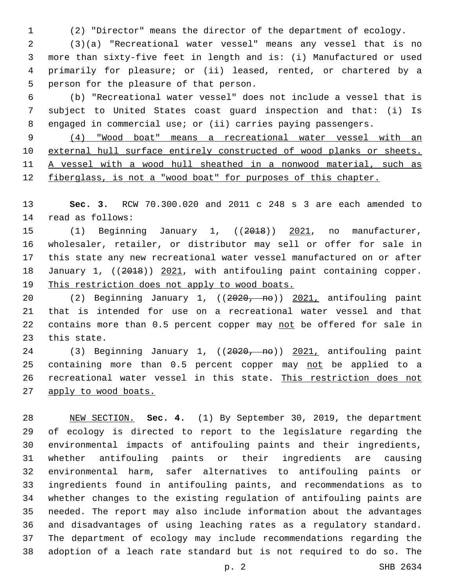(2) "Director" means the director of the department of ecology.

 (3)(a) "Recreational water vessel" means any vessel that is no more than sixty-five feet in length and is: (i) Manufactured or used primarily for pleasure; or (ii) leased, rented, or chartered by a 5 person for the pleasure of that person.

 (b) "Recreational water vessel" does not include a vessel that is subject to United States coast guard inspection and that: (i) Is engaged in commercial use; or (ii) carries paying passengers.

 (4) "Wood boat" means a recreational water vessel with an external hull surface entirely constructed of wood planks or sheets. A vessel with a wood hull sheathed in a nonwood material, such as fiberglass, is not a "wood boat" for purposes of this chapter.

 **Sec. 3.** RCW 70.300.020 and 2011 c 248 s 3 are each amended to 14 read as follows:

15 (1) Beginning January 1, ((2018)) 2021, no manufacturer, wholesaler, retailer, or distributor may sell or offer for sale in this state any new recreational water vessel manufactured on or after 18 January 1, ((2018)) 2021, with antifouling paint containing copper. This restriction does not apply to wood boats.

 (2) Beginning January 1, ((2020, no)) 2021, antifouling paint that is intended for use on a recreational water vessel and that 22 contains more than 0.5 percent copper may not be offered for sale in 23 this state.

24 (3) Beginning January 1, ((2020, no)) 2021, antifouling paint 25 containing more than 0.5 percent copper may not be applied to a recreational water vessel in this state. This restriction does not 27 apply to wood boats.

 NEW SECTION. **Sec. 4.** (1) By September 30, 2019, the department of ecology is directed to report to the legislature regarding the environmental impacts of antifouling paints and their ingredients, whether antifouling paints or their ingredients are causing environmental harm, safer alternatives to antifouling paints or ingredients found in antifouling paints, and recommendations as to whether changes to the existing regulation of antifouling paints are needed. The report may also include information about the advantages and disadvantages of using leaching rates as a regulatory standard. The department of ecology may include recommendations regarding the adoption of a leach rate standard but is not required to do so. The